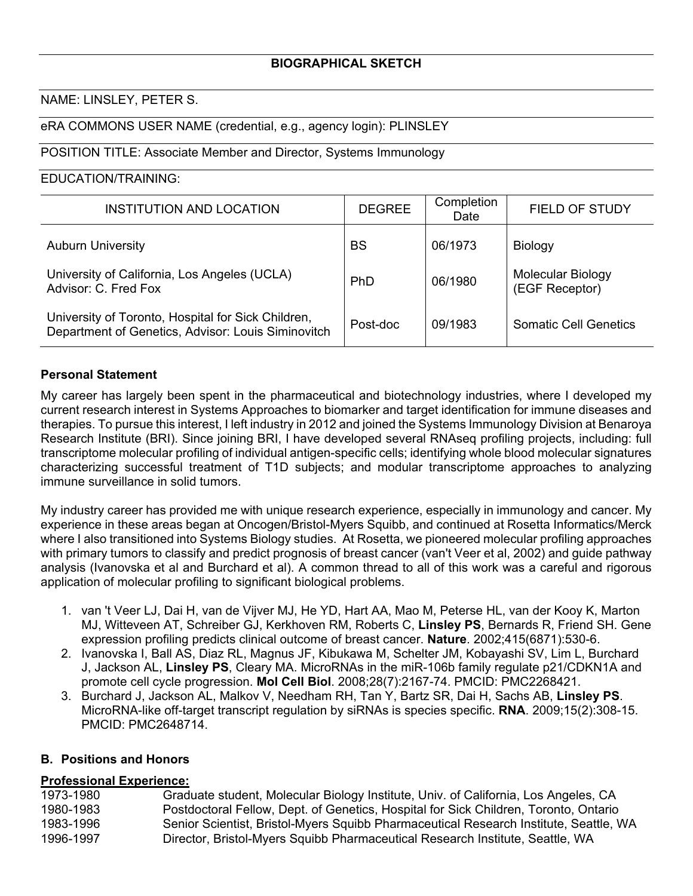## **BIOGRAPHICAL SKETCH**

#### NAME: LINSLEY, PETER S.

#### eRA COMMONS USER NAME (credential, e.g., agency login): PLINSLEY

## POSITION TITLE: Associate Member and Director, Systems Immunology

#### EDUCATION/TRAINING:

| <b>INSTITUTION AND LOCATION</b>                                                                          | <b>DEGREE</b> | Completion<br>Date | <b>FIELD OF STUDY</b>               |
|----------------------------------------------------------------------------------------------------------|---------------|--------------------|-------------------------------------|
| <b>Auburn University</b>                                                                                 | <b>BS</b>     | 06/1973            | <b>Biology</b>                      |
| University of California, Los Angeles (UCLA)<br>Advisor: C. Fred Fox                                     | PhD           | 06/1980            | Molecular Biology<br>(EGF Receptor) |
| University of Toronto, Hospital for Sick Children,<br>Department of Genetics, Advisor: Louis Siminovitch | Post-doc      | 09/1983            | <b>Somatic Cell Genetics</b>        |

#### **Personal Statement**

My career has largely been spent in the pharmaceutical and biotechnology industries, where I developed my current research interest in Systems Approaches to biomarker and target identification for immune diseases and therapies. To pursue this interest, I left industry in 2012 and joined the Systems Immunology Division at Benaroya Research Institute (BRI). Since joining BRI, I have developed several RNAseq profiling projects, including: full transcriptome molecular profiling of individual antigen-specific cells; identifying whole blood molecular signatures characterizing successful treatment of T1D subjects; and modular transcriptome approaches to analyzing immune surveillance in solid tumors.

My industry career has provided me with unique research experience, especially in immunology and cancer. My experience in these areas began at Oncogen/Bristol-Myers Squibb, and continued at Rosetta Informatics/Merck where I also transitioned into Systems Biology studies. At Rosetta, we pioneered molecular profiling approaches with primary tumors to classify and predict prognosis of breast cancer (van't Veer et al, 2002) and guide pathway analysis (Ivanovska et al and Burchard et al). A common thread to all of this work was a careful and rigorous application of molecular profiling to significant biological problems.

- 1. van 't Veer LJ, Dai H, van de Vijver MJ, He YD, Hart AA, Mao M, Peterse HL, van der Kooy K, Marton MJ, Witteveen AT, Schreiber GJ, Kerkhoven RM, Roberts C, **Linsley PS**, Bernards R, Friend SH. Gene expression profiling predicts clinical outcome of breast cancer. **Nature**. 2002;415(6871):530-6.
- 2. Ivanovska I, Ball AS, Diaz RL, Magnus JF, Kibukawa M, Schelter JM, Kobayashi SV, Lim L, Burchard J, Jackson AL, **Linsley PS**, Cleary MA. MicroRNAs in the miR-106b family regulate p21/CDKN1A and promote cell cycle progression. **Mol Cell Biol**. 2008;28(7):2167-74. PMCID: PMC2268421.
- 3. Burchard J, Jackson AL, Malkov V, Needham RH, Tan Y, Bartz SR, Dai H, Sachs AB, **Linsley PS**. MicroRNA-like off-target transcript regulation by siRNAs is species specific. **RNA**. 2009;15(2):308-15. PMCID: PMC2648714.

## **B. Positions and Honors**

#### **Professional Experience:**

| 1973-1980 | Graduate student, Molecular Biology Institute, Univ. of California, Los Angeles, CA   |
|-----------|---------------------------------------------------------------------------------------|
| 1980-1983 | Postdoctoral Fellow, Dept. of Genetics, Hospital for Sick Children, Toronto, Ontario  |
| 1983-1996 | Senior Scientist, Bristol-Myers Squibb Pharmaceutical Research Institute, Seattle, WA |
| 1996-1997 | Director, Bristol-Myers Squibb Pharmaceutical Research Institute, Seattle, WA         |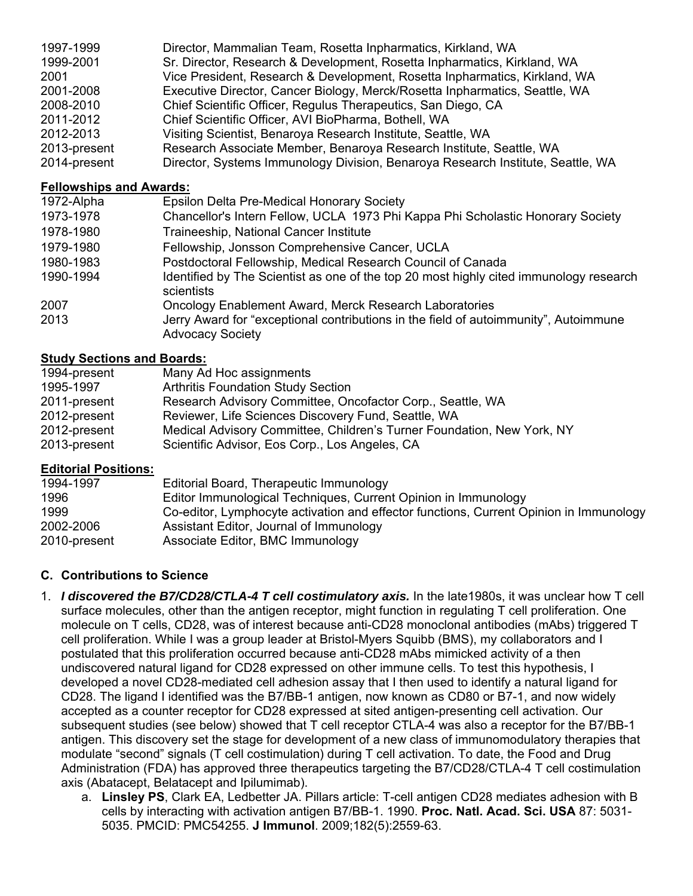| 1997-1999    | Director, Mammalian Team, Rosetta Inpharmatics, Kirkland, WA                    |
|--------------|---------------------------------------------------------------------------------|
| 1999-2001    | Sr. Director, Research & Development, Rosetta Inpharmatics, Kirkland, WA        |
| 2001         | Vice President, Research & Development, Rosetta Inpharmatics, Kirkland, WA      |
| 2001-2008    | Executive Director, Cancer Biology, Merck/Rosetta Inpharmatics, Seattle, WA     |
| 2008-2010    | Chief Scientific Officer, Regulus Therapeutics, San Diego, CA                   |
| 2011-2012    | Chief Scientific Officer, AVI BioPharma, Bothell, WA                            |
| 2012-2013    | Visiting Scientist, Benaroya Research Institute, Seattle, WA                    |
| 2013-present | Research Associate Member, Benaroya Research Institute, Seattle, WA             |
| 2014-present | Director, Systems Immunology Division, Benaroya Research Institute, Seattle, WA |

## **Fellowships and Awards:**

| 1972-Alpha | Epsilon Delta Pre-Medical Honorary Society                                                                      |
|------------|-----------------------------------------------------------------------------------------------------------------|
| 1973-1978  | Chancellor's Intern Fellow, UCLA 1973 Phi Kappa Phi Scholastic Honorary Society                                 |
| 1978-1980  | Traineeship, National Cancer Institute                                                                          |
| 1979-1980  | Fellowship, Jonsson Comprehensive Cancer, UCLA                                                                  |
| 1980-1983  | Postdoctoral Fellowship, Medical Research Council of Canada                                                     |
| 1990-1994  | Identified by The Scientist as one of the top 20 most highly cited immunology research<br>scientists            |
| 2007       | Oncology Enablement Award, Merck Research Laboratories                                                          |
| 2013       | Jerry Award for "exceptional contributions in the field of autoimmunity", Autoimmune<br><b>Advocacy Society</b> |

# **Study Sections and Boards:**

| 1994-present | Many Ad Hoc assignments                                                |
|--------------|------------------------------------------------------------------------|
| 1995-1997    | <b>Arthritis Foundation Study Section</b>                              |
| 2011-present | Research Advisory Committee, Oncofactor Corp., Seattle, WA             |
| 2012-present | Reviewer, Life Sciences Discovery Fund, Seattle, WA                    |
| 2012-present | Medical Advisory Committee, Children's Turner Foundation, New York, NY |
| 2013-present | Scientific Advisor, Eos Corp., Los Angeles, CA                         |

# **Editorial Positions:**

| 1994-1997    | Editorial Board, Therapeutic Immunology                                                |
|--------------|----------------------------------------------------------------------------------------|
| 1996         | Editor Immunological Techniques, Current Opinion in Immunology                         |
| 1999         | Co-editor, Lymphocyte activation and effector functions, Current Opinion in Immunology |
| 2002-2006    | Assistant Editor, Journal of Immunology                                                |
| 2010-present | Associate Editor, BMC Immunology                                                       |

# **C. Contributions to Science**

- 1. *I discovered the B7/CD28/CTLA-4 T cell costimulatory axis.* In the late1980s, it was unclear how T cell surface molecules, other than the antigen receptor, might function in regulating T cell proliferation. One molecule on T cells, CD28, was of interest because anti-CD28 monoclonal antibodies (mAbs) triggered T cell proliferation. While I was a group leader at Bristol-Myers Squibb (BMS), my collaborators and I postulated that this proliferation occurred because anti-CD28 mAbs mimicked activity of a then undiscovered natural ligand for CD28 expressed on other immune cells. To test this hypothesis, I developed a novel CD28-mediated cell adhesion assay that I then used to identify a natural ligand for CD28. The ligand I identified was the B7/BB-1 antigen, now known as CD80 or B7-1, and now widely accepted as a counter receptor for CD28 expressed at sited antigen-presenting cell activation. Our subsequent studies (see below) showed that T cell receptor CTLA-4 was also a receptor for the B7/BB-1 antigen. This discovery set the stage for development of a new class of immunomodulatory therapies that modulate "second" signals (T cell costimulation) during T cell activation. To date, the Food and Drug Administration (FDA) has approved three therapeutics targeting the B7/CD28/CTLA-4 T cell costimulation axis (Abatacept, Belatacept and Ipilumimab).
	- a. **Linsley PS**, Clark EA, Ledbetter JA. Pillars article: T-cell antigen CD28 mediates adhesion with B cells by interacting with activation antigen B7/BB-1. 1990. **Proc. Natl. Acad. Sci. USA** 87: 5031- 5035. PMCID: PMC54255. **J Immunol**. 2009;182(5):2559-63.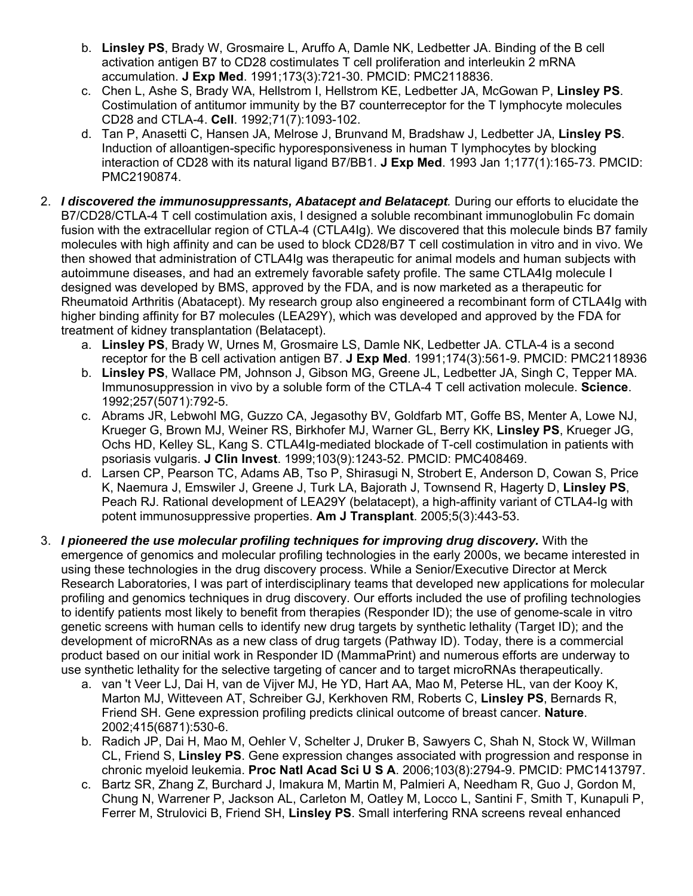- b. **Linsley PS**, Brady W, Grosmaire L, Aruffo A, Damle NK, Ledbetter JA. Binding of the B cell activation antigen B7 to CD28 costimulates T cell proliferation and interleukin 2 mRNA accumulation. **J Exp Med**. 1991;173(3):721-30. PMCID: PMC2118836.
- c. Chen L, Ashe S, Brady WA, Hellstrom I, Hellstrom KE, Ledbetter JA, McGowan P, **Linsley PS**. Costimulation of antitumor immunity by the B7 counterreceptor for the T lymphocyte molecules CD28 and CTLA-4. **Cell**. 1992;71(7):1093-102.
- d. Tan P, Anasetti C, Hansen JA, Melrose J, Brunvand M, Bradshaw J, Ledbetter JA, **Linsley PS**. Induction of alloantigen-specific hyporesponsiveness in human T lymphocytes by blocking interaction of CD28 with its natural ligand B7/BB1. **J Exp Med**. 1993 Jan 1;177(1):165-73. PMCID: PMC2190874.
- 2. *I discovered the immunosuppressants, Abatacept and Belatacept.* During our efforts to elucidate the B7/CD28/CTLA-4 T cell costimulation axis, I designed a soluble recombinant immunoglobulin Fc domain fusion with the extracellular region of CTLA-4 (CTLA4Ig). We discovered that this molecule binds B7 family molecules with high affinity and can be used to block CD28/B7 T cell costimulation in vitro and in vivo. We then showed that administration of CTLA4Ig was therapeutic for animal models and human subjects with autoimmune diseases, and had an extremely favorable safety profile. The same CTLA4Ig molecule I designed was developed by BMS, approved by the FDA, and is now marketed as a therapeutic for Rheumatoid Arthritis (Abatacept). My research group also engineered a recombinant form of CTLA4Ig with higher binding affinity for B7 molecules (LEA29Y), which was developed and approved by the FDA for treatment of kidney transplantation (Belatacept).
	- a. **Linsley PS**, Brady W, Urnes M, Grosmaire LS, Damle NK, Ledbetter JA. CTLA-4 is a second receptor for the B cell activation antigen B7. **J Exp Med**. 1991;174(3):561-9. PMCID: PMC2118936
	- b. **Linsley PS**, Wallace PM, Johnson J, Gibson MG, Greene JL, Ledbetter JA, Singh C, Tepper MA. Immunosuppression in vivo by a soluble form of the CTLA-4 T cell activation molecule. **Science**. 1992;257(5071):792-5.
	- c. Abrams JR, Lebwohl MG, Guzzo CA, Jegasothy BV, Goldfarb MT, Goffe BS, Menter A, Lowe NJ, Krueger G, Brown MJ, Weiner RS, Birkhofer MJ, Warner GL, Berry KK, **Linsley PS**, Krueger JG, Ochs HD, Kelley SL, Kang S. CTLA4Ig-mediated blockade of T-cell costimulation in patients with psoriasis vulgaris. **J Clin Invest**. 1999;103(9):1243-52. PMCID: PMC408469.
	- d. Larsen CP, Pearson TC, Adams AB, Tso P, Shirasugi N, Strobert E, Anderson D, Cowan S, Price K, Naemura J, Emswiler J, Greene J, Turk LA, Bajorath J, Townsend R, Hagerty D, **Linsley PS**, Peach RJ. Rational development of LEA29Y (belatacept), a high-affinity variant of CTLA4-Ig with potent immunosuppressive properties. **Am J Transplant**. 2005;5(3):443-53.
- 3. *I pioneered the use molecular profiling techniques for improving drug discovery.* With the emergence of genomics and molecular profiling technologies in the early 2000s, we became interested in using these technologies in the drug discovery process. While a Senior/Executive Director at Merck Research Laboratories, I was part of interdisciplinary teams that developed new applications for molecular profiling and genomics techniques in drug discovery. Our efforts included the use of profiling technologies to identify patients most likely to benefit from therapies (Responder ID); the use of genome-scale in vitro genetic screens with human cells to identify new drug targets by synthetic lethality (Target ID); and the development of microRNAs as a new class of drug targets (Pathway ID). Today, there is a commercial product based on our initial work in Responder ID (MammaPrint) and numerous efforts are underway to use synthetic lethality for the selective targeting of cancer and to target microRNAs therapeutically.
	- a. van 't Veer LJ, Dai H, van de Vijver MJ, He YD, Hart AA, Mao M, Peterse HL, van der Kooy K, Marton MJ, Witteveen AT, Schreiber GJ, Kerkhoven RM, Roberts C, **Linsley PS**, Bernards R, Friend SH. Gene expression profiling predicts clinical outcome of breast cancer. **Nature**. 2002;415(6871):530-6.
	- b. Radich JP, Dai H, Mao M, Oehler V, Schelter J, Druker B, Sawyers C, Shah N, Stock W, Willman CL, Friend S, **Linsley PS**. Gene expression changes associated with progression and response in chronic myeloid leukemia. **Proc Natl Acad Sci U S A**. 2006;103(8):2794-9. PMCID: PMC1413797.
	- c. Bartz SR, Zhang Z, Burchard J, Imakura M, Martin M, Palmieri A, Needham R, Guo J, Gordon M, Chung N, Warrener P, Jackson AL, Carleton M, Oatley M, Locco L, Santini F, Smith T, Kunapuli P, Ferrer M, Strulovici B, Friend SH, **Linsley PS**. Small interfering RNA screens reveal enhanced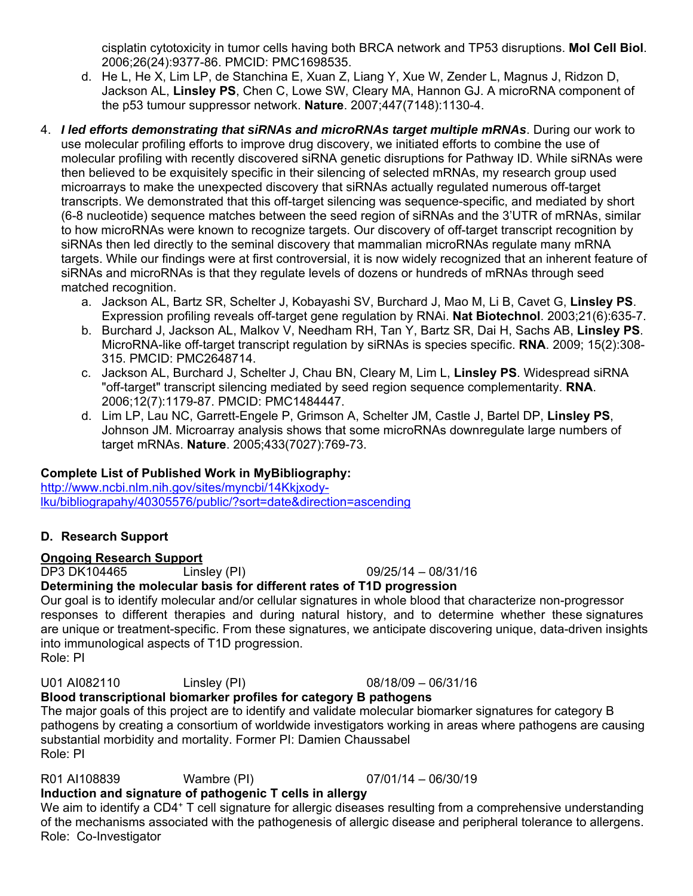cisplatin cytotoxicity in tumor cells having both BRCA network and TP53 disruptions. **Mol Cell Biol**. 2006;26(24):9377-86. PMCID: PMC1698535.

- d. He L, He X, Lim LP, de Stanchina E, Xuan Z, Liang Y, Xue W, Zender L, Magnus J, Ridzon D, Jackson AL, **Linsley PS**, Chen C, Lowe SW, Cleary MA, Hannon GJ. A microRNA component of the p53 tumour suppressor network. **Nature**. 2007;447(7148):1130-4.
- 4. *I led efforts demonstrating that siRNAs and microRNAs target multiple mRNAs*. During our work to use molecular profiling efforts to improve drug discovery, we initiated efforts to combine the use of molecular profiling with recently discovered siRNA genetic disruptions for Pathway ID. While siRNAs were then believed to be exquisitely specific in their silencing of selected mRNAs, my research group used microarrays to make the unexpected discovery that siRNAs actually regulated numerous off-target transcripts. We demonstrated that this off-target silencing was sequence-specific, and mediated by short (6-8 nucleotide) sequence matches between the seed region of siRNAs and the 3'UTR of mRNAs, similar to how microRNAs were known to recognize targets. Our discovery of off-target transcript recognition by siRNAs then led directly to the seminal discovery that mammalian microRNAs regulate many mRNA targets. While our findings were at first controversial, it is now widely recognized that an inherent feature of siRNAs and microRNAs is that they regulate levels of dozens or hundreds of mRNAs through seed matched recognition.
	- a. Jackson AL, Bartz SR, Schelter J, Kobayashi SV, Burchard J, Mao M, Li B, Cavet G, **Linsley PS**. Expression profiling reveals off-target gene regulation by RNAi. **Nat Biotechnol**. 2003;21(6):635-7.
	- b. Burchard J, Jackson AL, Malkov V, Needham RH, Tan Y, Bartz SR, Dai H, Sachs AB, **Linsley PS**. MicroRNA-like off-target transcript regulation by siRNAs is species specific. **RNA**. 2009; 15(2):308- 315. PMCID: PMC2648714.
	- c. Jackson AL, Burchard J, Schelter J, Chau BN, Cleary M, Lim L, **Linsley PS**. Widespread siRNA "off-target" transcript silencing mediated by seed region sequence complementarity. **RNA**. 2006;12(7):1179-87. PMCID: PMC1484447.
	- d. Lim LP, Lau NC, Garrett-Engele P, Grimson A, Schelter JM, Castle J, Bartel DP, **Linsley PS**, Johnson JM. Microarray analysis shows that some microRNAs downregulate large numbers of target mRNAs. **Nature**. 2005;433(7027):769-73.

# **Complete List of Published Work in MyBibliography:**

http://www.ncbi.nlm.nih.gov/sites/myncbi/14Kkjxodylku/bibliograpahy/40305576/public/?sort=date&direction=ascending

# **D. Research Support**

# **Ongoing Research Support**

DP3 DK104465 Linsley (PI) 09/25/14 – 08/31/16

# **Determining the molecular basis for different rates of T1D progression**

Our goal is to identify molecular and/or cellular signatures in whole blood that characterize non-progressor responses to different therapies and during natural history, and to determine whether these signatures are unique or treatment-specific. From these signatures, we anticipate discovering unique, data-driven insights into immunological aspects of T1D progression. Role: PI

U01 AI082110 Linsley (PI) 08/18/09 – 06/31/16

**Blood transcriptional biomarker profiles for category B pathogens**  The major goals of this project are to identify and validate molecular biomarker signatures for category B pathogens by creating a consortium of worldwide investigators working in areas where pathogens are causing substantial morbidity and mortality. Former PI: Damien Chaussabel Role: PI

R01 AI108839 Wambre (PI) 07/01/14 – 06/30/19 **Induction and signature of pathogenic T cells in allergy** 

We aim to identify a CD4<sup>+</sup> T cell signature for allergic diseases resulting from a comprehensive understanding of the mechanisms associated with the pathogenesis of allergic disease and peripheral tolerance to allergens. Role: Co-Investigator